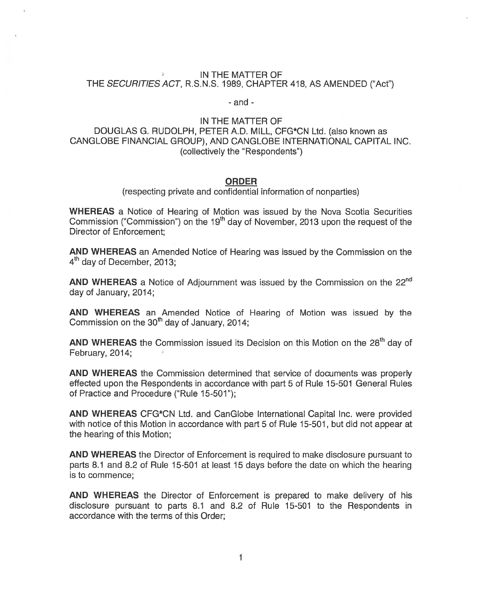## IN THE MATTER OF THE SECURITIES ACT, R.S.N.S. 1989, CHAPTER 418, AS AMENDED ("Act")

 $-$ and  $-$ 

## IN THE MATTER OF

# DOUGLAS G. RUDOLPH, PETER A.D. MILL, CFG\*CN Ltd. (also known as CANGLOBE FINANCIAL GROUP), AND CANGLOBE INTERNATIONAL CAPITAL INC. (collectively the "Respondents")

### ORDER

#### (respecting private and confidential information of nonparties)

WHEREAS <sup>a</sup> Notice of Hearing of Motion was issued by the Nova Scotia Securities Commission ("Commission") on the 19<sup>th</sup> day of November, 2013 upon the request of the Director of Enforcement;

AND WHEREAS an Amended Notice of Hearing was issued by the Commission on the  $4<sup>th</sup>$  day of December, 2013;

AND WHEREAS a Notice of Adjournment was issued by the Commission on the 22<sup>nd</sup> day of January, 2014;

AND WHEREAS an Amended Notice of Hearing of Motion was issued by the Commission on the  $30<sup>th</sup>$  day of January, 2014;

AND WHEREAS the Commission issued its Decision on this Motion on the 28<sup>th</sup> day of February, 2014;

AND WHEREAS the Commission determined that service of documents was properly effected upon the Respondents in accordance with par<sup>t</sup> 5 of Rule 15-501 General Rules of Practice and Procedure ("Rule 15-501");

AND WHEREAS CFG\*CN Ltd. and CanGlobe International Capital Inc. were provided with notice of this Motion in accordance with par<sup>t</sup> 5 of Rule 15-501, but did not appear at the hearing of this Motion;

AND WHEREAS the Director of Enforcement is required to make disclosure pursuan<sup>t</sup> to parts 8.1 and 8.2 of Rule 15-501 at least 15 days before the date on which the hearing is to commence;

AND WHEREAS the Director of Enforcement is prepared to make delivery of his disclosure pursuan<sup>t</sup> to parts 8.1 and 8.2 of Rule 15-501 to the Respondents in accordance with the terms of this Order;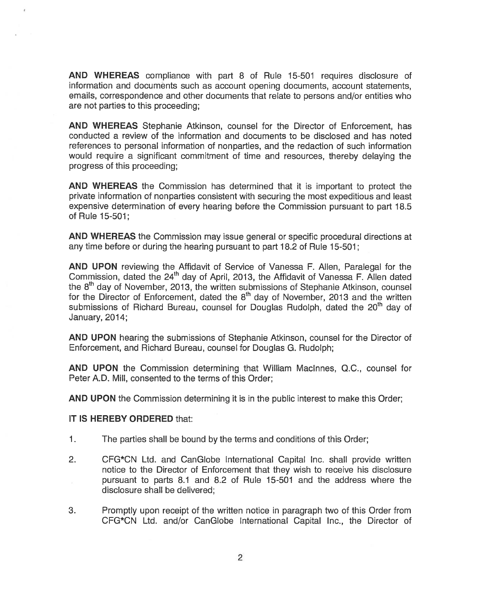AND WHEREAS compliance with par<sup>t</sup> 8 of Rule 15-501 requires disclosure of information and documents such as account opening documents, account statements, emails, correspondence and other documents that relate to persons and/or entities who are not parties to this proceeding;

AND WHEREAS Stephanie Atkinson, counsel for the Director of Enforcement, has conducted <sup>a</sup> review of the information and documents to be disclosed and has noted references to personal information of nonparties, and the redaction of such information would require <sup>a</sup> significant commitment of time and resources, thereby delaying the progress of this proceeding;

AND WHEREAS the Commission has determined that it is important to protect the private information of nonparties consistent with securing the most expeditious and least expensive determination of every hearing before the Commission pursuan<sup>t</sup> to par<sup>t</sup> 18.5 of Rule 15-501;

AND WHEREAS the Commission may issue general or specific procedural directions at any time before or during the hearing pursuan<sup>t</sup> to par<sup>t</sup> 18.2 of Rule 15-501;

AND UPON reviewing the Affidavit of Service of Vanessa F. Allen, Paralegal for the Commission, dated the 24<sup>th</sup> day of April, 2013, the Affidavit of Vanessa F. Allen dated the  $8<sup>th</sup>$  day of November, 2013, the written submissions of Stephanie Atkinson, counsel for the Director of Enforcement, dated the  $8<sup>th</sup>$  day of November, 2013 and the written submissions of Richard Bureau, counsel for Douglas Rudolph, dated the 20<sup>th</sup> day of January, 2014;

AND UPON hearing the submissions of Stephanie Atkinson, counsel for the Director of Enforcement, and Richard Bureau, counsel for Douglas G. Rudolph;

AND UPON the Commission determining that William Maclnnes, Q.C., counsel for Peter A.D. Mill, consented to the terms of this Order;

AND UPON the Commission determining it is in the public interest to make this Order;

### IT IS HEREBY ORDERED that:

- 1. The parties shall be bound by the terms and conditions of this Order;
- 2. CFG\*CN Ltd. and CanGlobe International Capital Inc. shall provide written notice to the Director of Enforcement that they wish to receive his disclosure pursuan<sup>t</sup> to parts 8.1 and 8.2 of Rule 15-501 and the address where the disclosure shall be delivered;
- 3. Promptly upon receipt of the written notice in paragraph two of this Order from CFG\*CN Ltd. and/or CanGlobe International Capital Inc., the Director of